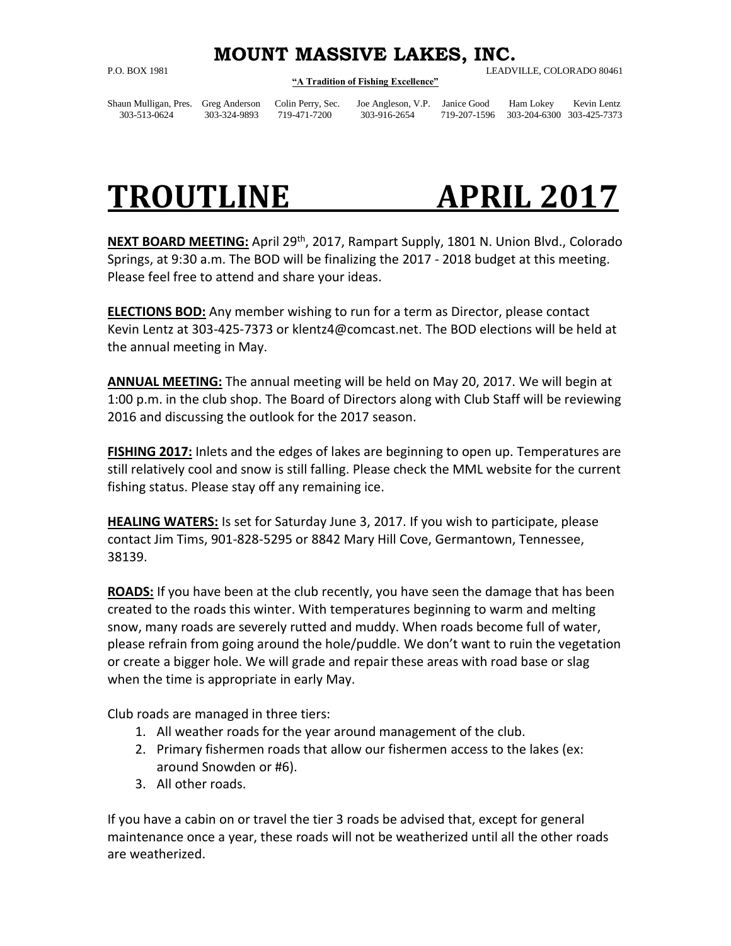## **MOUNT MASSIVE LAKES, INC.**

## **"A Tradition of Fishing Excellence"**

P.O. BOX 1981 LEADVILLE, COLORADO 80461

Shaun Mulligan, Pres. Greg Anderson Colin Perry, Sec. Joe Angleson, V.P. Janice Good Ham Lokey Kevin Lentz 303-513-0624 303-324-9893 719-471-7200 303-916-2654 719-207-1596 303-204-6300 303-425-7373

## **TROUTLINE APRIL 2017**

**NEXT BOARD MEETING:** April 29th, 2017, Rampart Supply, 1801 N. Union Blvd., Colorado Springs, at 9:30 a.m. The BOD will be finalizing the 2017 - 2018 budget at this meeting. Please feel free to attend and share your ideas.

**ELECTIONS BOD:** Any member wishing to run for a term as Director, please contact Kevin Lentz at 303-425-7373 or klentz4@comcast.net. The BOD elections will be held at the annual meeting in May.

**ANNUAL MEETING:** The annual meeting will be held on May 20, 2017. We will begin at 1:00 p.m. in the club shop. The Board of Directors along with Club Staff will be reviewing 2016 and discussing the outlook for the 2017 season.

**FISHING 2017:** Inlets and the edges of lakes are beginning to open up. Temperatures are still relatively cool and snow is still falling. Please check the MML website for the current fishing status. Please stay off any remaining ice.

**HEALING WATERS:** Is set for Saturday June 3, 2017. If you wish to participate, please contact Jim Tims, 901-828-5295 or 8842 Mary Hill Cove, Germantown, Tennessee, 38139.

**ROADS:** If you have been at the club recently, you have seen the damage that has been created to the roads this winter. With temperatures beginning to warm and melting snow, many roads are severely rutted and muddy. When roads become full of water, please refrain from going around the hole/puddle. We don't want to ruin the vegetation or create a bigger hole. We will grade and repair these areas with road base or slag when the time is appropriate in early May.

Club roads are managed in three tiers:

- 1. All weather roads for the year around management of the club.
- 2. Primary fishermen roads that allow our fishermen access to the lakes (ex: around Snowden or #6).
- 3. All other roads.

If you have a cabin on or travel the tier 3 roads be advised that, except for general maintenance once a year, these roads will not be weatherized until all the other roads are weatherized.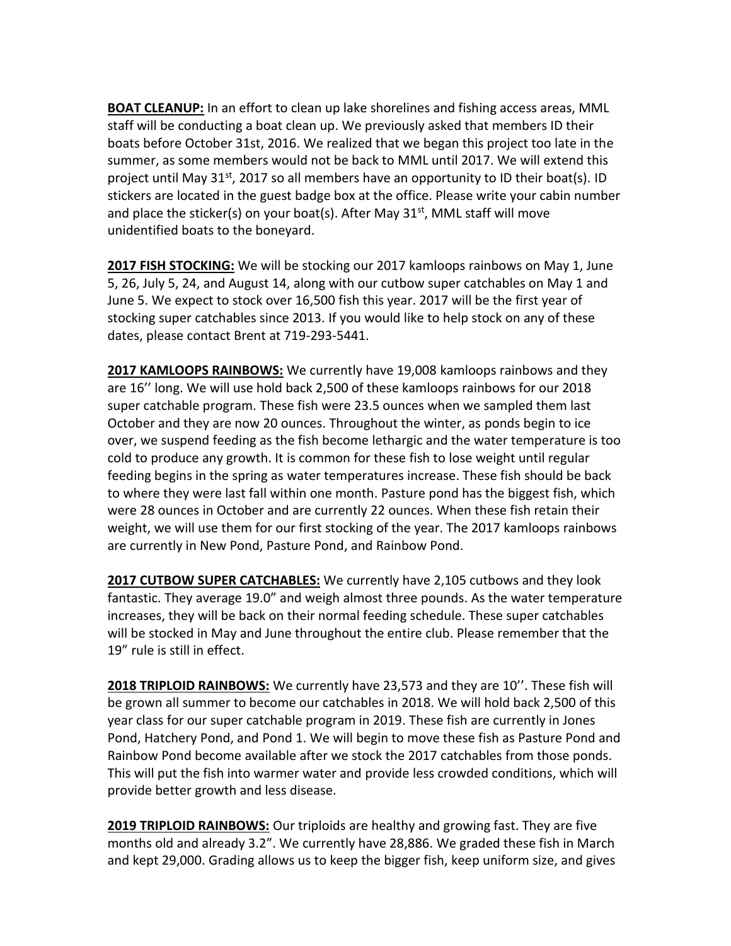**BOAT CLEANUP:** In an effort to clean up lake shorelines and fishing access areas, MML staff will be conducting a boat clean up. We previously asked that members ID their boats before October 31st, 2016. We realized that we began this project too late in the summer, as some members would not be back to MML until 2017. We will extend this project until May  $31^{st}$ , 2017 so all members have an opportunity to ID their boat(s). ID stickers are located in the guest badge box at the office. Please write your cabin number and place the sticker(s) on your boat(s). After May  $31<sup>st</sup>$ , MML staff will move unidentified boats to the boneyard.

**2017 FISH STOCKING:** We will be stocking our 2017 kamloops rainbows on May 1, June 5, 26, July 5, 24, and August 14, along with our cutbow super catchables on May 1 and June 5. We expect to stock over 16,500 fish this year. 2017 will be the first year of stocking super catchables since 2013. If you would like to help stock on any of these dates, please contact Brent at 719-293-5441.

**2017 KAMLOOPS RAINBOWS:** We currently have 19,008 kamloops rainbows and they are 16'' long. We will use hold back 2,500 of these kamloops rainbows for our 2018 super catchable program. These fish were 23.5 ounces when we sampled them last October and they are now 20 ounces. Throughout the winter, as ponds begin to ice over, we suspend feeding as the fish become lethargic and the water temperature is too cold to produce any growth. It is common for these fish to lose weight until regular feeding begins in the spring as water temperatures increase. These fish should be back to where they were last fall within one month. Pasture pond has the biggest fish, which were 28 ounces in October and are currently 22 ounces. When these fish retain their weight, we will use them for our first stocking of the year. The 2017 kamloops rainbows are currently in New Pond, Pasture Pond, and Rainbow Pond.

**2017 CUTBOW SUPER CATCHABLES:** We currently have 2,105 cutbows and they look fantastic. They average 19.0" and weigh almost three pounds. As the water temperature increases, they will be back on their normal feeding schedule. These super catchables will be stocked in May and June throughout the entire club. Please remember that the 19" rule is still in effect.

**2018 TRIPLOID RAINBOWS:** We currently have 23,573 and they are 10''. These fish will be grown all summer to become our catchables in 2018. We will hold back 2,500 of this year class for our super catchable program in 2019. These fish are currently in Jones Pond, Hatchery Pond, and Pond 1. We will begin to move these fish as Pasture Pond and Rainbow Pond become available after we stock the 2017 catchables from those ponds. This will put the fish into warmer water and provide less crowded conditions, which will provide better growth and less disease.

**2019 TRIPLOID RAINBOWS:** Our triploids are healthy and growing fast. They are five months old and already 3.2". We currently have 28,886. We graded these fish in March and kept 29,000. Grading allows us to keep the bigger fish, keep uniform size, and gives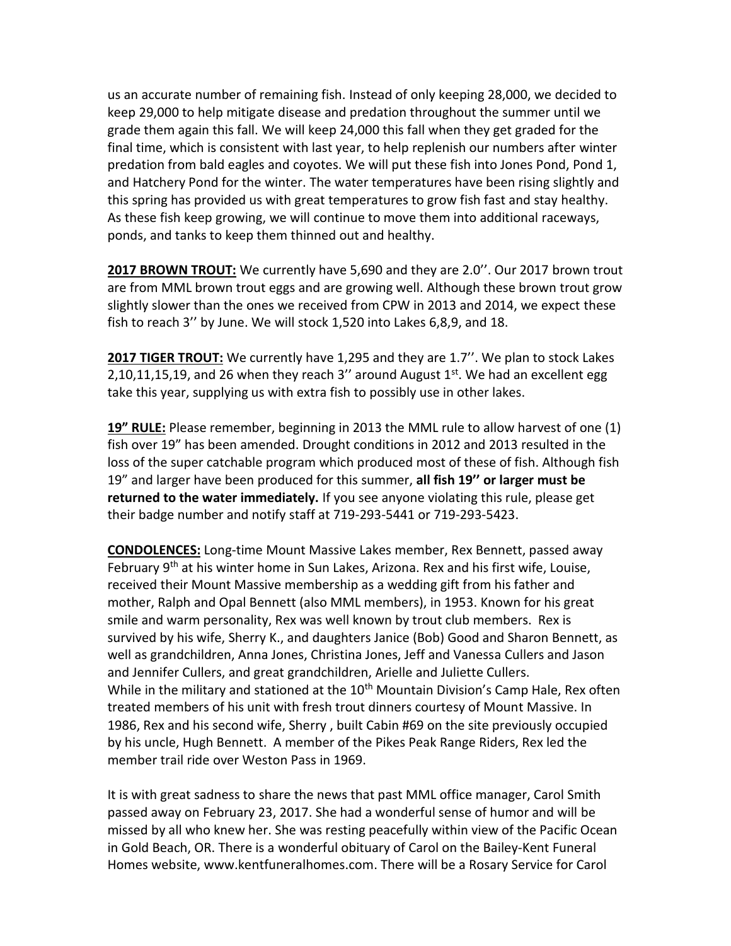us an accurate number of remaining fish. Instead of only keeping 28,000, we decided to keep 29,000 to help mitigate disease and predation throughout the summer until we grade them again this fall. We will keep 24,000 this fall when they get graded for the final time, which is consistent with last year, to help replenish our numbers after winter predation from bald eagles and coyotes. We will put these fish into Jones Pond, Pond 1, and Hatchery Pond for the winter. The water temperatures have been rising slightly and this spring has provided us with great temperatures to grow fish fast and stay healthy. As these fish keep growing, we will continue to move them into additional raceways, ponds, and tanks to keep them thinned out and healthy.

**2017 BROWN TROUT:** We currently have 5,690 and they are 2.0''. Our 2017 brown trout are from MML brown trout eggs and are growing well. Although these brown trout grow slightly slower than the ones we received from CPW in 2013 and 2014, we expect these fish to reach 3'' by June. We will stock 1,520 into Lakes 6,8,9, and 18.

**2017 TIGER TROUT:** We currently have 1,295 and they are 1.7''. We plan to stock Lakes 2,10,11,15,19, and 26 when they reach 3" around August  $1<sup>st</sup>$ . We had an excellent egg take this year, supplying us with extra fish to possibly use in other lakes.

**19" RULE:** Please remember, beginning in 2013 the MML rule to allow harvest of one (1) fish over 19" has been amended. Drought conditions in 2012 and 2013 resulted in the loss of the super catchable program which produced most of these of fish. Although fish 19" and larger have been produced for this summer, **all fish 19'' or larger must be returned to the water immediately.** If you see anyone violating this rule, please get their badge number and notify staff at 719-293-5441 or 719-293-5423.

**CONDOLENCES:** Long-time Mount Massive Lakes member, Rex Bennett, passed away February 9<sup>th</sup> at his winter home in Sun Lakes, Arizona. Rex and his first wife, Louise, received their Mount Massive membership as a wedding gift from his father and mother, Ralph and Opal Bennett (also MML members), in 1953. Known for his great smile and warm personality, Rex was well known by trout club members. Rex is survived by his wife, Sherry K., and daughters Janice (Bob) Good and Sharon Bennett, as well as grandchildren, Anna Jones, Christina Jones, Jeff and Vanessa Cullers and Jason and Jennifer Cullers, and great grandchildren, Arielle and Juliette Cullers. While in the military and stationed at the 10<sup>th</sup> Mountain Division's Camp Hale, Rex often treated members of his unit with fresh trout dinners courtesy of Mount Massive. In 1986, Rex and his second wife, Sherry , built Cabin #69 on the site previously occupied by his uncle, Hugh Bennett. A member of the Pikes Peak Range Riders, Rex led the member trail ride over Weston Pass in 1969.

It is with great sadness to share the news that past MML office manager, Carol Smith passed away on February 23, 2017. She had a wonderful sense of humor and will be missed by all who knew her. She was resting peacefully within view of the Pacific Ocean in Gold Beach, OR. There is a wonderful obituary of Carol on the Bailey-Kent Funeral Homes website, [www.kentfuneralhomes.com.](http://www.kentfuneralhomes.com/) There will be a Rosary Service for Carol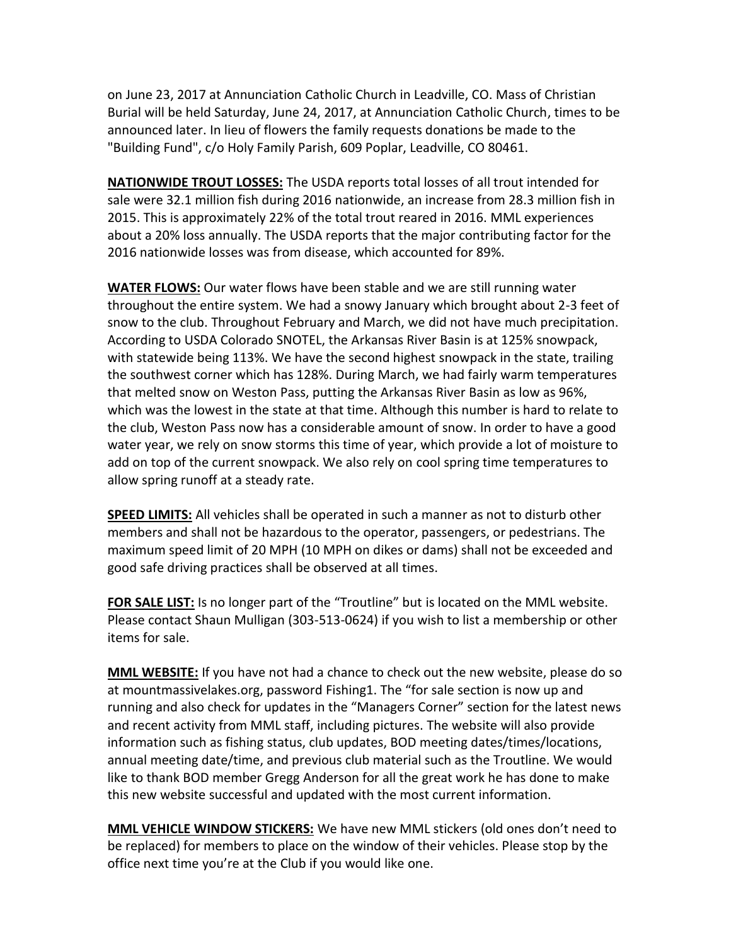on June 23, 2017 at Annunciation Catholic Church in Leadville, CO. Mass of Christian Burial will be held Saturday, June 24, 2017, at Annunciation Catholic Church, times to be announced later. In lieu of flowers the family requests donations be made to the "Building Fund", c/o Holy Family Parish, 609 Poplar, Leadville, CO 80461.

**NATIONWIDE TROUT LOSSES:** The USDA reports total losses of all trout intended for sale were 32.1 million fish during 2016 nationwide, an increase from 28.3 million fish in 2015. This is approximately 22% of the total trout reared in 2016. MML experiences about a 20% loss annually. The USDA reports that the major contributing factor for the 2016 nationwide losses was from disease, which accounted for 89%.

**WATER FLOWS:** Our water flows have been stable and we are still running water throughout the entire system. We had a snowy January which brought about 2-3 feet of snow to the club. Throughout February and March, we did not have much precipitation. According to USDA Colorado SNOTEL, the Arkansas River Basin is at 125% snowpack, with statewide being 113%. We have the second highest snowpack in the state, trailing the southwest corner which has 128%. During March, we had fairly warm temperatures that melted snow on Weston Pass, putting the Arkansas River Basin as low as 96%, which was the lowest in the state at that time. Although this number is hard to relate to the club, Weston Pass now has a considerable amount of snow. In order to have a good water year, we rely on snow storms this time of year, which provide a lot of moisture to add on top of the current snowpack. We also rely on cool spring time temperatures to allow spring runoff at a steady rate.

**SPEED LIMITS:** All vehicles shall be operated in such a manner as not to disturb other members and shall not be hazardous to the operator, passengers, or pedestrians. The maximum speed limit of 20 MPH (10 MPH on dikes or dams) shall not be exceeded and good safe driving practices shall be observed at all times.

**FOR SALE LIST:** Is no longer part of the "Troutline" but is located on the MML website. Please contact Shaun Mulligan (303-513-0624) if you wish to list a membership or other items for sale.

**MML WEBSITE:** If you have not had a chance to check out the new website, please do so at mountmassivelakes.org, password Fishing1. The "for sale section is now up and running and also check for updates in the "Managers Corner" section for the latest news and recent activity from MML staff, including pictures. The website will also provide information such as fishing status, club updates, BOD meeting dates/times/locations, annual meeting date/time, and previous club material such as the Troutline. We would like to thank BOD member Gregg Anderson for all the great work he has done to make this new website successful and updated with the most current information.

**MML VEHICLE WINDOW STICKERS:** We have new MML stickers (old ones don't need to be replaced) for members to place on the window of their vehicles. Please stop by the office next time you're at the Club if you would like one.